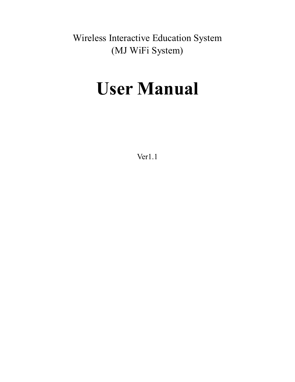nteractive Educati Wireless Interactive Education System (MJ WiFi System)

# User Manual

Ver1.1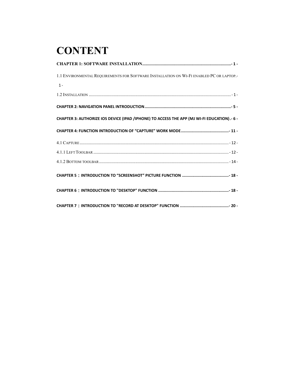# **CONTENT**

| 1.1 ENVIRONMENTAL REQUIREMENTS FOR SOFTWARE INSTALLATION ON WI-FI ENABLED PC OR LAPTOP.-     |
|----------------------------------------------------------------------------------------------|
| $1 -$                                                                                        |
|                                                                                              |
|                                                                                              |
| CHAPTER 3: AUTHORIZE IOS DEVICE (IPAD /IPHONE) TO ACCESS THE APP (MJ WI-FI EDUCATION) .- 6 - |
|                                                                                              |
|                                                                                              |
|                                                                                              |
|                                                                                              |
|                                                                                              |
|                                                                                              |
|                                                                                              |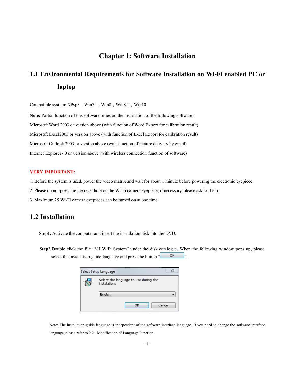#### **Chapter 1: Software Installation**

# **1.1 Environmental Requirements for Software Installation on Wi-Fi enabled PC or laptop**

Compatible system: XPsp3, Win7, Win8, Win8.1, Win10

**Note:** Partial function of this software relies on the installation of the following softwares: Microsoft Word 2003 or version above (with function of Word Export for calibration result) Microsoft Excel2003 or version above (with function of Excel Export for calibration result) Microsoft Outlook 2003 or version above (with function of picture delivery by email) Internet Explorer7.0 or version above (with wireless connection function of software)

#### **VERY IMPORTANT:**

- 1. Before the system is used, power the video matrix and wait for about 1 minute before powering the electronic eyepiece.
- 2. Please do not press the the reset hole on the Wi-Fi camera eyepiece, if necessary, please ask for help.
- 3. Maximum 25 Wi-Fi camera eyepieces can be turned on at one time.

#### **1.2 Installation**

**Step1.** Activate the computer and insert the installation disk into the DVD.

**Step2.**Double click the file "MJ WiFi System" under the disk catalogue. When the following window pops up, please select the installation guide language and press the button  $\frac{1}{x}$ .

| Select Setup Language                                  |
|--------------------------------------------------------|
| Select the language to use during the<br>installation: |
| English                                                |
| Cancel<br>ОК                                           |

Note: The installation guide language is independent of the software interface language. If you need to change the software interface language, please refer to 2.2 - Modification of Language Function.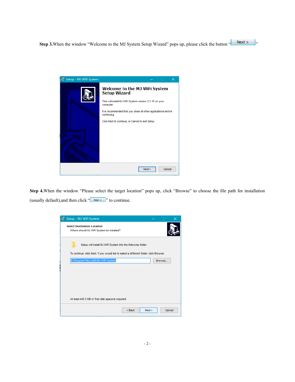**Step 3.**When the window "Welcome to the MJ System Setup Wizard" pops up, please click the button " <u>Next ></u> <sub>"</sub>,



**Step 4.**When the window "Please select the target location" pops up, click "Browse" to choose the file path for installation (usually default), and then click  $\frac{1}{x}$   $\frac{N_{\text{ext}}}{x}$  to continue.

| 15 Setup - MJ WiFi System                                                              |  |          |        |        | $\times$ |
|----------------------------------------------------------------------------------------|--|----------|--------|--------|----------|
| <b>Select Destination Location</b><br>Where should MJ WiFi System be installed?        |  |          |        |        |          |
| Setup will install MJ WiFi System into the following folder.                           |  |          |        |        |          |
| To continue, click Next. If you would like to select a different folder, click Browse. |  |          |        |        |          |
| C:\Program Files (x86)\MJ WiFi System                                                  |  |          |        | Browse |          |
|                                                                                        |  |          |        |        |          |
|                                                                                        |  |          |        |        |          |
|                                                                                        |  |          |        |        |          |
|                                                                                        |  |          |        |        |          |
|                                                                                        |  |          |        |        |          |
|                                                                                        |  |          |        |        |          |
|                                                                                        |  | $<$ Back | Next > |        | Cancel   |
| At least 445.3 MB of free disk space is required.                                      |  |          |        |        |          |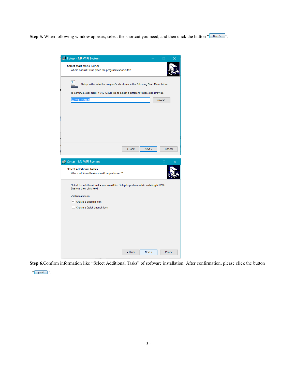**Step 5.** When following window appears, select the shortcut you need, and then click the button " Next> ".

| 18 Setup - MJ WiFi System                                                                                        |  |  |  |
|------------------------------------------------------------------------------------------------------------------|--|--|--|
| <b>Select Start Menu Folder</b><br>Where should Setup place the program's shortcuts?                             |  |  |  |
| Setup will create the program's shortcuts in the following Start Menu folder.                                    |  |  |  |
| To continue, click Next. If you would like to select a different folder, click Browse.                           |  |  |  |
| MJ WiFi System<br>Browse                                                                                         |  |  |  |
|                                                                                                                  |  |  |  |
|                                                                                                                  |  |  |  |
|                                                                                                                  |  |  |  |
|                                                                                                                  |  |  |  |
|                                                                                                                  |  |  |  |
|                                                                                                                  |  |  |  |
| $8$ Back<br>Next<br>Cancel                                                                                       |  |  |  |
|                                                                                                                  |  |  |  |
|                                                                                                                  |  |  |  |
| 12 Setup - MJ WiFi System                                                                                        |  |  |  |
| <b>Select Additional Tasks</b><br>Which additional tasks should be performed?                                    |  |  |  |
| Select the additional tasks you would like Setup to perform while installing MJ WiFi<br>System, then click Next. |  |  |  |
| Additional icons:                                                                                                |  |  |  |
| $\vee$ Create a desktop icon                                                                                     |  |  |  |
| Create a Quick Launch icon                                                                                       |  |  |  |
|                                                                                                                  |  |  |  |
|                                                                                                                  |  |  |  |
|                                                                                                                  |  |  |  |
|                                                                                                                  |  |  |  |
|                                                                                                                  |  |  |  |

**Step 6.**Confirm information like "Select Additional Tasks" of software installation. After confirmation, please click the button

 $($   $\boxed{\text{[nstall]}}$   $)$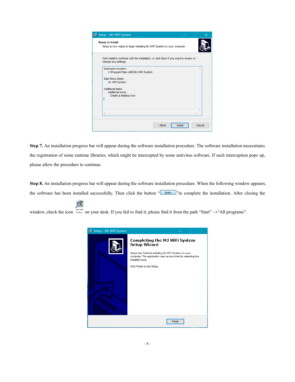| 18 Setup - MJ WiFi System                                                                                       | П      |
|-----------------------------------------------------------------------------------------------------------------|--------|
| <b>Ready to Install</b><br>Setup is now ready to begin installing MJ WiFi System on your computer.              |        |
| Click Install to continue with the installation, or click Back if you want to review or<br>change any settings. |        |
| <b>Destination location:</b><br>C:\Program Files (x86)\MJ WiFi System                                           | r.     |
| Start Menu folder:<br><b>MJ WiFi System</b>                                                                     |        |
| Additional tasks:<br>Additional icons:<br>Create a desktop icon                                                 |        |
|                                                                                                                 |        |
| $\,<$                                                                                                           | э      |
| $8$ Back<br>Install                                                                                             | Cancel |

**Step 7.** An installation progress bar will appear during the software installation procedure. The software installation necessitates the registration of some runtime libraries, which might be intercepted by some antivirus software. If such interception pops up, please allow the procedure to continue.

**Step 8.** An installation progress bar will appear during the software installation procedure. When the following window appears, the software has been installed successfully. Then click the button "**Finish**" to complete the installation. After closing the

window, check the icon  $\overline{\mathbb{R}^4}$  on your desk. If you fail to find it, please find it from the path "Start" → "All programs".

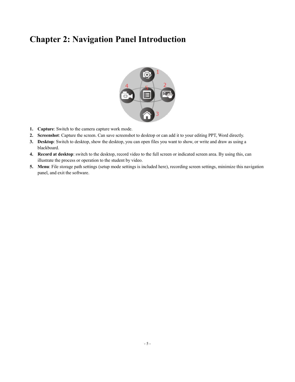# **Chapter 2: Navigation Panel Introduction**



- **1. Capture**: Switch to the camera capture work mode.
- **2. Screenshot**: Capture the screen. Can save screenshot to desktop or can add it to your editing PPT, Word directly.
- **3. Desktop**: Switch to desktop, show the desktop, you can open files you want to show, or write and draw as using a blackboard.
- **4. Record at desktop**: switch to the desktop, record video to the full screen or indicated screen area. By using this, can illustrate the process or operation to the student by video.
- **5. Menu**: File storage path settings (setup mode settings is included here), recording screen settings, minimize this navigation panel, and exit the software.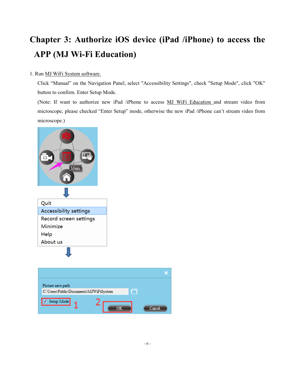# **Chapter 3: Authorize iOS device (iPad /iPhone) to access the APP (MJ Wi-Fi Education)**

#### 1. Run MJ WiFi System software.

Click "Manual" on the Navigation Panel, select "Accessibility Settings", check "Setup Mode", click "OK" button to confirm. Enter Setup Mode.

(Note: If want to authorize new iPad /iPhone to access MJ WiFi Education and stream video from microscope, please checked "Enter Setup" mode, otherwise the new iPad /iPhone can't stream video from microscope.)

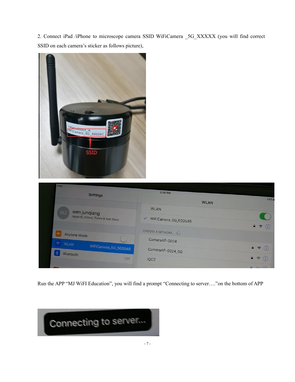2. Connect iPad /iPhone to microscope camera SSID WiFiCamera 5G XXXXX (you will find correct SSID on each camera's sticker as follows picture),



Run the APP "MJ WiFI Education", you will find a prompt "Connecting to server…."on the bottom of APP

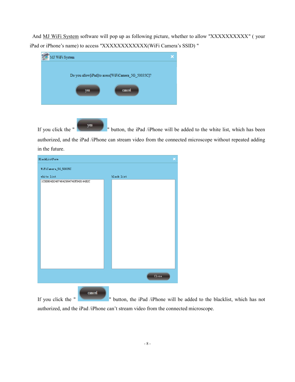And MJ WiFi System software will pop up as following picture, whether to allow "XXXXXXXXXXX" ( your iPad or iPhone's name) to access "XXXXXXXXXXXX(WiFi Camera's SSID) "

| MJ WiFi System                                    |  |
|---------------------------------------------------|--|
|                                                   |  |
| Do you allow[iPad]to acess[WiFiCamera_5G_50035C]? |  |
|                                                   |  |
| cancel<br>yes                                     |  |
|                                                   |  |
|                                                   |  |

If you click the "  $\frac{1}{2}$  " button, the iPad /iPhone will be added to the white list, which has been

authorized, and the iPad /iPhone can stream video from the connected microscope without repeated adding in the future.

| BlackListForm                    | ×          |
|----------------------------------|------------|
| WiFiCamera_5G_50035C             |            |
| white list                       | black list |
| 1CBDB04D24674642994740FD4D144B2C |            |
|                                  |            |
|                                  |            |
|                                  |            |
|                                  |            |
|                                  |            |
|                                  |            |
|                                  |            |
|                                  |            |
|                                  |            |
|                                  |            |
|                                  |            |
|                                  | Close      |
|                                  |            |

cancel

If you click the " button, the iPad /iPhone will be added to the blacklist, which has not authorized, and the iPad /iPhone can't stream video from the connected microscope.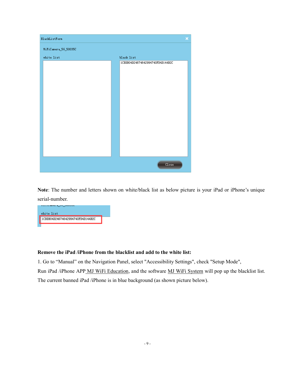| BlackListForm                     | ×                                |
|-----------------------------------|----------------------------------|
| $\texttt{WiFiCamera\_5G\_50035C}$ |                                  |
| white list                        | black list                       |
|                                   | 1CBDB04D24674642994740FD4D144B2C |
|                                   |                                  |
|                                   | Clos <sub>e</sub>                |

**Note**: The number and letters shown on white/black list as below picture is your iPad or iPhone's unique serial-number.



#### **Remove the iPad /iPhone from the blacklist and add to the white list:**

1. Go to "Manual" on the Navigation Panel, select "Accessibility Settings", check "Setup Mode",

Run iPad /iPhone APP MJ WiFi Education, and the software MJ WiFi System will pop up the blacklist list.

The current banned iPad /iPhone is in blue background (as shown picture below).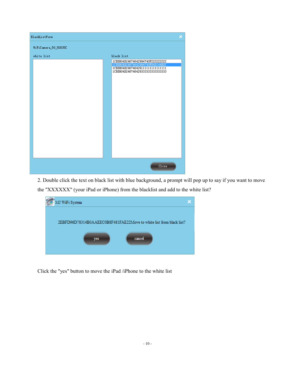

2. Double click the text on black list with blue background, a prompt will pop up to say if you want to move the "XXXXXX" (your iPad or iPhone) from the blacklist and add to the white list?

| MJ WiFi System                                                      |        |
|---------------------------------------------------------------------|--------|
|                                                                     |        |
| 2EBFD96D78314B0AAEEC0B8F481FAE22Move to white list from black list? |        |
|                                                                     |        |
| yes                                                                 | cancel |
|                                                                     |        |
|                                                                     |        |

Click the "yes" button to move the iPad /iPhone to the white list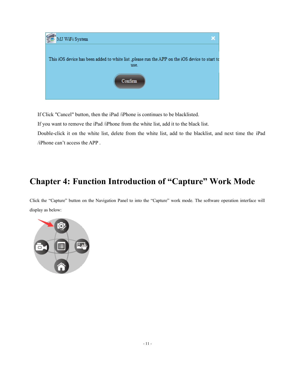

If Click "Cancel" button, then the iPad /iPhone is continues to be blacklisted.

If you want to remove the iPad /iPhone from the white list, add it to the black list.

Double-click it on the white list, delete from the white list, add to the blacklist, and next time the iPad /iPhone can't access the APP .

# **Chapter 4: Function Introduction of "Capture" Work Mode**

Click the "Capture" button on the Navigation Panel to into the "Capture" work mode. The software operation interface will display as below:

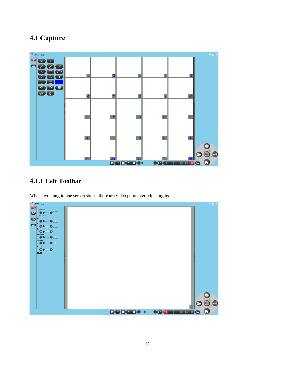# **4.1 Capture**



## **4.1.1 Left Toolbar**

When switching to one screen status, there are video parameter adjusting tools.

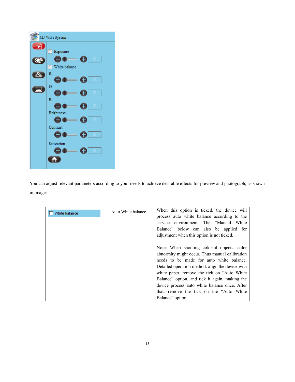

You can adjust relevant parameters according to your needs to achieve desirable effects for preview and photograph, as shown in image:

| White balance | Auto White balance | When this option is ticked, the device will<br>process auto white balance according to the |
|---------------|--------------------|--------------------------------------------------------------------------------------------|
|               |                    | service environment. The "Manual White                                                     |
|               |                    | Balance" below can also be applied for                                                     |
|               |                    | adjustment when this option is not ticked.                                                 |
|               |                    |                                                                                            |
|               |                    | Note: When shooting colorful objects, color                                                |
|               |                    | abnormity might occur. Thus manual calibration                                             |
|               |                    | needs to be made for auto white balance.                                                   |
|               |                    | Detailed operation method: align the device with                                           |
|               |                    | white paper, remove the tick on "Auto White"                                               |
|               |                    | Balance" option, and tick it again, making the                                             |
|               |                    | device process auto white balance once. After                                              |
|               |                    | that, remove the tick on the "Auto White"                                                  |
|               |                    | Balance" option.                                                                           |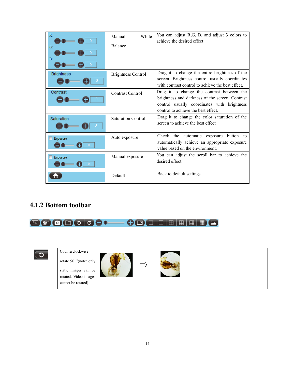| R <sub>1</sub><br>G:<br>B: | White<br>Manual<br>Balance | You can adjust R,G, B, and adjust 3 colors to<br>achieve the desired effect.                                                                                                        |
|----------------------------|----------------------------|-------------------------------------------------------------------------------------------------------------------------------------------------------------------------------------|
| <b>Brightness</b>          | <b>Brightness Control</b>  | Drag it to change the entire brightness of the<br>screen. Brightness control usually coordinates<br>with contrast control to achieve the best effect.                               |
| Contrast<br>n              | Contrast Control           | Drag it to change the contrast between the<br>brightness and darkness of the screen. Contrast<br>control usually coordinates with brightness<br>control to achieve the best effect. |
| Saturation<br>0            | Saturation Control         | Drag it to change the color saturation of the<br>screen to achieve the best effect                                                                                                  |
| Exposure                   | Auto exposure              | Check the automatic exposure button to<br>automatically achieve an appropriate exposure<br>value based on the environment.                                                          |
| Exposure                   | Manual exposure            | You can adjust the scroll bar to achieve the<br>desired effect.                                                                                                                     |
|                            | Default                    | Back to default settings.                                                                                                                                                           |

### **4.1.2 Bottom toolbar**



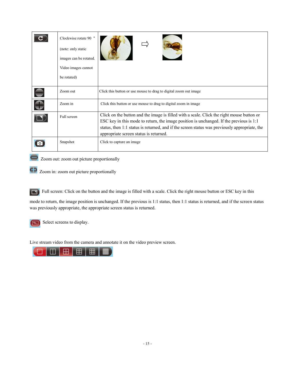|             | Clockwise rotate 90 °<br>(note: only static<br>images can be rotated.<br>Video images cannot<br>be rotated) |                                                                                                                                                                                                                                                                                                                                 |  |
|-------------|-------------------------------------------------------------------------------------------------------------|---------------------------------------------------------------------------------------------------------------------------------------------------------------------------------------------------------------------------------------------------------------------------------------------------------------------------------|--|
|             | Zoom out                                                                                                    | Click this button or use mouse to drag to digital zoom out image                                                                                                                                                                                                                                                                |  |
| $\bigoplus$ | Zoom in                                                                                                     | Click this button or use mouse to drag to digital zoom in image                                                                                                                                                                                                                                                                 |  |
|             | Full screen                                                                                                 | Click on the button and the image is filled with a scale. Click the right mouse button or<br>ESC key in this mode to return, the image position is unchanged. If the previous is 1.1<br>status, then 1:1 status is returned, and if the screen status was previously appropriate, the<br>appropriate screen status is returned. |  |
|             | Snapshot                                                                                                    | Click to capture an image                                                                                                                                                                                                                                                                                                       |  |

Zoom out: zoom out picture proportionally

Zoom in: zoom out picture proportionally

Full screen: Click on the button and the image is filled with a scale. Click the right mouse button or ESC key in this

mode to return, the image position is unchanged. If the previous is 1:1 status, then 1:1 status is returned, and if the screen status was previously appropriate, the appropriate screen status is returned.



Select screens to display.

Live stream video from the camera and annotate it on the video preview screen.

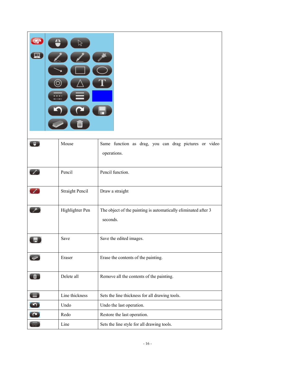|                                   | Mouse           | Same function as drag, you can drag pictures or video<br>operations.       |
|-----------------------------------|-----------------|----------------------------------------------------------------------------|
|                                   | Pencil          | Pencil function.                                                           |
|                                   | Straight Pencil | Draw a straight                                                            |
|                                   | Highlighter Pen | The object of the painting is automatically eliminated after 3<br>seconds. |
|                                   | Save            | Save the edited images.                                                    |
|                                   | Eraser          | Erase the contents of the painting.                                        |
| $\hat{a}$                         | Delete all      | Remove all the contents of the painting.                                   |
| $\bigoplus$                       | Line thickness  | Sets the line thickness for all drawing tools.                             |
|                                   | Undo            | Undo the last operation.                                                   |
| $\begin{pmatrix} 0 \end{pmatrix}$ | Redo            | Restore the last operation.                                                |
|                                   | Line            | Sets the line style for all drawing tools.                                 |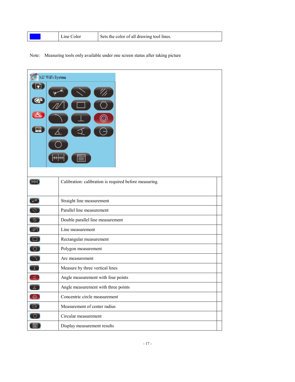|  |  | Line Color | Sets the color of all drawing tool lines. |
|--|--|------------|-------------------------------------------|
|--|--|------------|-------------------------------------------|

#### Note: Measuring tools only available under one screen status after taking picture

| MJ WiFi System<br>- ने<br><u>M</u><br>匣 |                                                        |  |
|-----------------------------------------|--------------------------------------------------------|--|
| $\boxed{\text{min}}$                    | Calibration: calibration is required before measuring. |  |
| m                                       | Straight line measurement                              |  |
| $\mathbb{Z}$                            | Parallel line measurement                              |  |
| <u>Un)</u>                              | Double parallel line measurement                       |  |
| $\mathscr{A}$                           | Line measurement                                       |  |
| $\Box$                                  | Rectangular measurement                                |  |
| $\circ$                                 | Polygon measurement                                    |  |
|                                         | Arc measurement                                        |  |
| $\bot$                                  | Measure by three vertical lines                        |  |
|                                         | Angle measurement with four points                     |  |
| $\Delta$                                | Angle measurement with three points                    |  |
| $\odot$                                 | Concentric circle measurement                          |  |
| $\Theta$                                | Measurement of center radius                           |  |
| $\bigcirc$                              | Circular measurement                                   |  |
| (目)                                     | Display measurement results                            |  |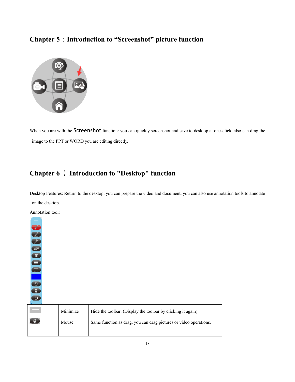# **Chapter 5**:**Introduction to "Screenshot" picture function**



When you are with the **Screenshot** function: you can quickly screenshot and save to desktop at one-click, also can drag the image to the PPT or WORD you are editing directly.

# **Chapter 6**:**Introduction to "Desktop" function**

| Desktop Features: Return to the desktop, you can prepare the video and document, you can also use annotation tools to annotate |
|--------------------------------------------------------------------------------------------------------------------------------|
| on the desktop.                                                                                                                |

Annotation tool:

**COOOOOO**  $\bigcirc$  $\bigoplus$ Đ

|           | Minimize | Hide the toolbar. (Display the toolbar by clicking it again)      |
|-----------|----------|-------------------------------------------------------------------|
| $\bullet$ | Mouse    | Same function as drag, you can drag pictures or video operations. |
|           |          |                                                                   |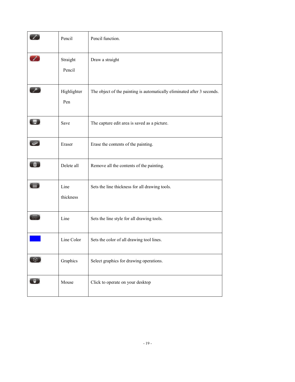|                          | Pencil             | Pencil function.                                                        |
|--------------------------|--------------------|-------------------------------------------------------------------------|
| $\boldsymbol{Z}$         | Straight<br>Pencil | Draw a straight                                                         |
| $\overline{\mathscr{E}}$ | Highlighter<br>Pen | The object of the painting is automatically eliminated after 3 seconds. |
| $\blacksquare$           | Save               | The capture edit area is saved as a picture.                            |
|                          | Eraser             | Erase the contents of the painting.                                     |
| $\boxed{\blacksquare}$   | Delete all         | Remove all the contents of the painting.                                |
| $\blacksquare$           | Line<br>thickness  | Sets the line thickness for all drawing tools.                          |
|                          | Line               | Sets the line style for all drawing tools.                              |
|                          | Line Color         | Sets the color of all drawing tool lines.                               |
| $\Theta$                 | Graphics           | Select graphics for drawing operations.                                 |
| $\bullet$                | Mouse              | Click to operate on your desktop                                        |